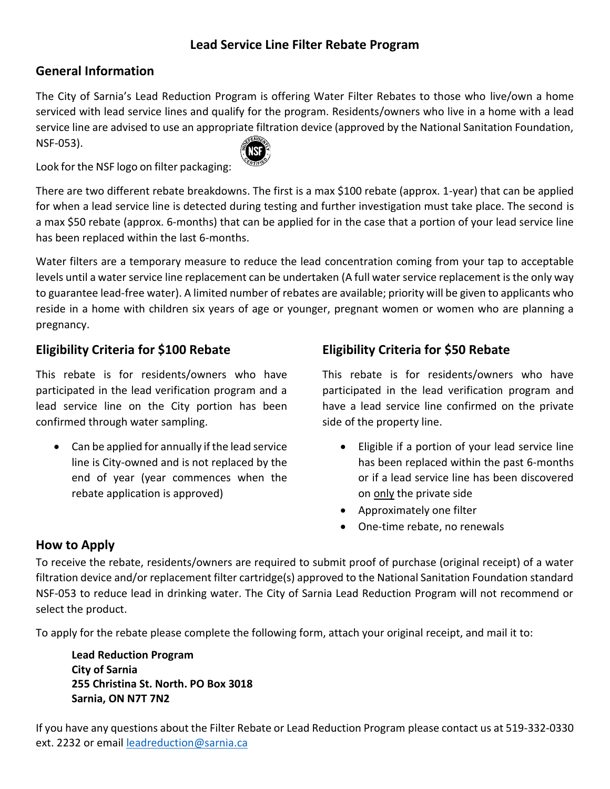# **Lead Service Line Filter Rebate Program**

# **General Information**

The City of Sarnia's Lead Reduction Program is offering Water Filter Rebates to those who live/own a home serviced with lead service lines and qualify for the program. Residents/owners who live in a home with a lead service line are advised to use an appropriate filtration device (approved by the National Sanitation Foundation, NSF-053).

Look for the NSF logo on filter packaging:

There are two different rebate breakdowns. The first is a max \$100 rebate (approx. 1-year) that can be applied for when a lead service line is detected during testing and further investigation must take place. The second is a max \$50 rebate (approx. 6-months) that can be applied for in the case that a portion of your lead service line has been replaced within the last 6-months.

Water filters are a temporary measure to reduce the lead concentration coming from your tap to acceptable levels until a water service line replacement can be undertaken (A full water service replacement is the only way to guarantee lead-free water). A limited number of rebates are available; priority will be given to applicants who reside in a home with children six years of age or younger, pregnant women or women who are planning a pregnancy.

# **Eligibility Criteria for \$100 Rebate**

This rebate is for residents/owners who have participated in the lead verification program and a lead service line on the City portion has been confirmed through water sampling.

• Can be applied for annually if the lead service line is City-owned and is not replaced by the end of year (year commences when the rebate application is approved)

# **Eligibility Criteria for \$50 Rebate**

This rebate is for residents/owners who have participated in the lead verification program and have a lead service line confirmed on the private side of the property line.

- Eligible if a portion of your lead service line has been replaced within the past 6-months or if a lead service line has been discovered on only the private side
- Approximately one filter
- One-time rebate, no renewals

# **How to Apply**

To receive the rebate, residents/owners are required to submit proof of purchase (original receipt) of a water filtration device and/or replacement filter cartridge(s) approved to the National Sanitation Foundation standard NSF-053 to reduce lead in drinking water. The City of Sarnia Lead Reduction Program will not recommend or select the product.

To apply for the rebate please complete the following form, attach your original receipt, and mail it to:

**Lead Reduction Program City of Sarnia 255 Christina St. North. PO Box 3018 Sarnia, ON N7T 7N2**

If you have any questions about the Filter Rebate or Lead Reduction Program please contact us at 519-332-0330 ext. 2232 or emai[l leadreduction@sarnia.ca](mailto:leadreduction@sarnia.ca)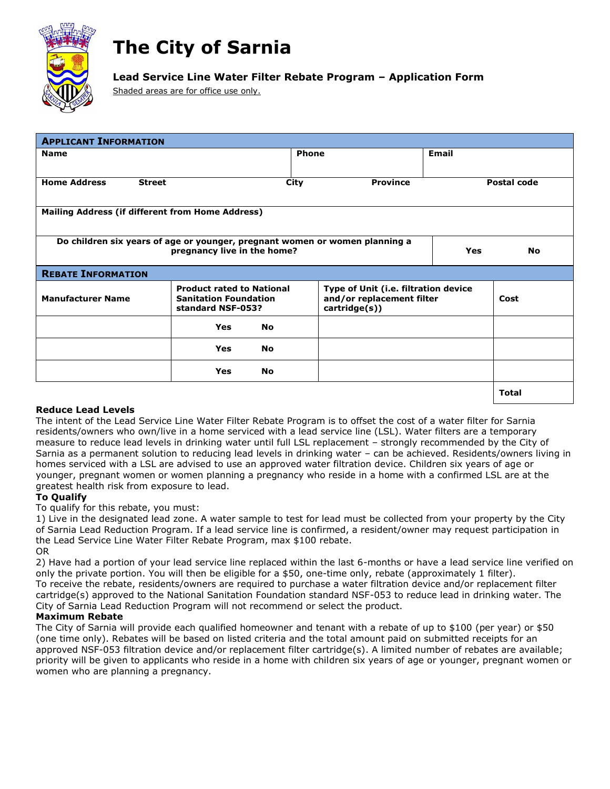

# **The City of Sarnia**

## **Lead Service Line Water Filter Rebate Program – Application Form**

Shaded areas are for office use only.

| <b>APPLICANT INFORMATION</b>                                                                                                   |                                                                                       |              |                                                                                    |              |              |
|--------------------------------------------------------------------------------------------------------------------------------|---------------------------------------------------------------------------------------|--------------|------------------------------------------------------------------------------------|--------------|--------------|
| <b>Name</b>                                                                                                                    |                                                                                       | <b>Phone</b> |                                                                                    | <b>Email</b> |              |
| <b>Home Address</b>                                                                                                            | <b>Street</b>                                                                         | City         | <b>Province</b>                                                                    |              | Postal code  |
|                                                                                                                                | Mailing Address (if different from Home Address)                                      |              |                                                                                    |              |              |
| Do children six years of age or younger, pregnant women or women planning a<br>pregnancy live in the home?<br>Yes<br><b>No</b> |                                                                                       |              |                                                                                    |              |              |
| <b>REBATE INFORMATION</b>                                                                                                      |                                                                                       |              |                                                                                    |              |              |
| <b>Manufacturer Name</b>                                                                                                       | <b>Product rated to National</b><br><b>Sanitation Foundation</b><br>standard NSF-053? |              | Type of Unit (i.e. filtration device<br>and/or replacement filter<br>cartridge(s)) |              | Cost         |
|                                                                                                                                | <b>Yes</b>                                                                            | <b>No</b>    |                                                                                    |              |              |
|                                                                                                                                | <b>Yes</b>                                                                            | <b>No</b>    |                                                                                    |              |              |
|                                                                                                                                | Yes                                                                                   | No           |                                                                                    |              |              |
|                                                                                                                                |                                                                                       |              |                                                                                    |              | <b>Total</b> |

## **Reduce Lead Levels**

The intent of the Lead Service Line Water Filter Rebate Program is to offset the cost of a water filter for Sarnia residents/owners who own/live in a home serviced with a lead service line (LSL). Water filters are a temporary measure to reduce lead levels in drinking water until full LSL replacement – strongly recommended by the City of Sarnia as a permanent solution to reducing lead levels in drinking water – can be achieved. Residents/owners living in homes serviced with a LSL are advised to use an approved water filtration device. Children six years of age or younger, pregnant women or women planning a pregnancy who reside in a home with a confirmed LSL are at the greatest health risk from exposure to lead.

## **To Qualify**

To qualify for this rebate, you must:

1) Live in the designated lead zone. A water sample to test for lead must be collected from your property by the City of Sarnia Lead Reduction Program. If a lead service line is confirmed, a resident/owner may request participation in the Lead Service Line Water Filter Rebate Program, max \$100 rebate. OR

2) Have had a portion of your lead service line replaced within the last 6-months or have a lead service line verified on only the private portion. You will then be eligible for a \$50, one-time only, rebate (approximately 1 filter). To receive the rebate, residents/owners are required to purchase a water filtration device and/or replacement filter cartridge(s) approved to the National Sanitation Foundation standard NSF-053 to reduce lead in drinking water. The City of Sarnia Lead Reduction Program will not recommend or select the product.

## **Maximum Rebate**

The City of Sarnia will provide each qualified homeowner and tenant with a rebate of up to \$100 (per year) or \$50 (one time only). Rebates will be based on listed criteria and the total amount paid on submitted receipts for an approved NSF-053 filtration device and/or replacement filter cartridge(s). A limited number of rebates are available; priority will be given to applicants who reside in a home with children six years of age or younger, pregnant women or women who are planning a pregnancy.